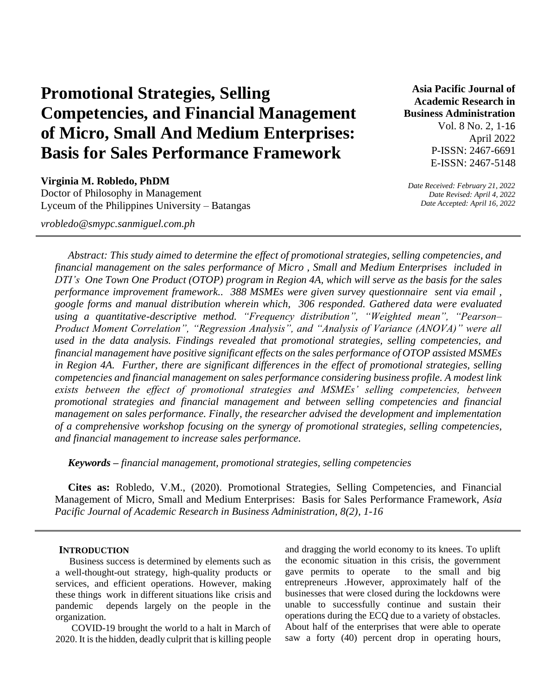# **Promotional Strategies, Selling Competencies, and Financial Management of Micro, Small And Medium Enterprises: Basis for Sales Performance Framework**

# **Virginia M. Robledo, PhDM**

Doctor of Philosophy in Management Lyceum of the Philippines University – Batangas

*vrobledo@smypc.sanmiguel.com.ph*

*Abstract: This study aimed to determine the effect of promotional strategies, selling competencies, and financial management on the sales performance of Micro , Small and Medium Enterprises included in DTI's One Town One Product (OTOP) program in Region 4A, which will serve as the basis for the sales performance improvement framework.. 388 MSMEs were given survey questionnaire sent via email , google forms and manual distribution wherein which, 306 responded. Gathered data were evaluated using a quantitative-descriptive method. "Frequency distribution", "Weighted mean", "Pearson– Product Moment Correlation", "Regression Analysis", and "Analysis of Variance (ANOVA)" were all used in the data analysis. Findings revealed that promotional strategies, selling competencies, and financial management have positive significant effects on the sales performance of OTOP assisted MSMEs in Region 4A. Further, there are significant differences in the effect of promotional strategies, selling competencies and financial management on sales performance considering business profile. A modest link exists between the effect of promotional strategies and MSMEs' selling competencies, between promotional strategies and financial management and between selling competencies and financial management on sales performance. Finally, the researcher advised the development and implementation of a comprehensive workshop focusing on the synergy of promotional strategies, selling competencies, and financial management to increase sales performance.*

*Keywords – financial management, promotional strategies, selling competencies*

**Cites as:** Robledo, V.M., (2020). Promotional Strategies, Selling Competencies, and Financial Management of Micro, Small and Medium Enterprises: Basis for Sales Performance Framework, *Asia Pacific Journal of Academic Research in Business Administration, 8(2), 1-16*

#### **INTRODUCTION**

Business success is determined by elements such as a well-thought-out strategy, high-quality products or services, and efficient operations. However, making these things work in different situations like crisis and pandemic depends largely on the people in the organization.

COVID-19 brought the world to a halt in March of 2020. It is the hidden, deadly culprit that is killing people and dragging the world economy to its knees. To uplift the economic situation in this crisis, the government gave permits to operate to the small and big entrepreneurs .However, approximately half of the businesses that were closed during the lockdowns were unable to successfully continue and sustain their operations during the ECQ due to a variety of obstacles. About half of the enterprises that were able to operate saw a forty (40) percent drop in operating hours,

**Asia Pacific Journal of Academic Research in Business Administration**  Vol. 8 No. 2, 1-16

April 2022 P-ISSN: 2467-6691 E-ISSN: 2467-5148

*Date Received: February 21, 2022 Date Revised: April 4, 2022 Date Accepted: April 16, 2022*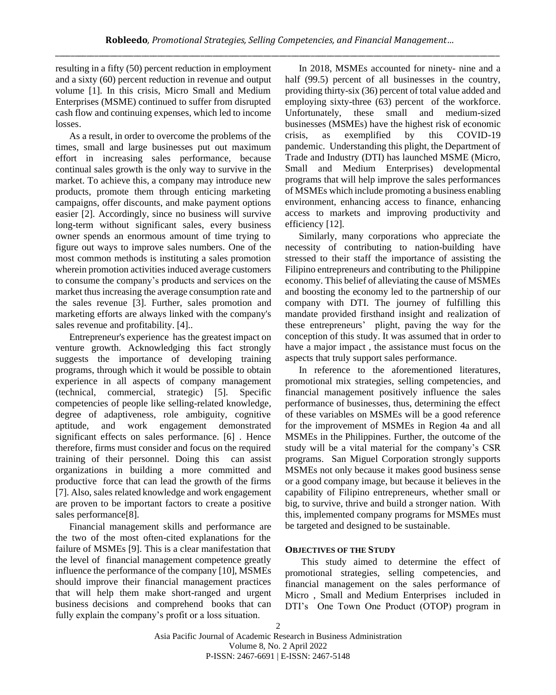resulting in a fifty (50) percent reduction in employment and a sixty (60) percent reduction in revenue and output volume [1]. In this crisis, Micro Small and Medium Enterprises (MSME) continued to suffer from disrupted cash flow and continuing expenses, which led to income losses.

As a result, in order to overcome the problems of the times, small and large businesses put out maximum effort in increasing sales performance, because continual sales growth is the only way to survive in the market. To achieve this, a company may introduce new products, promote them through enticing marketing campaigns, offer discounts, and make payment options easier [2]. Accordingly, since no business will survive long-term without significant sales, every business owner spends an enormous amount of time trying to figure out ways to improve sales numbers. One of the most common methods is instituting a sales promotion wherein promotion activities induced average customers to consume the company's products and services on the market thus increasing the average consumption rate and the sales revenue [3]. Further, sales promotion and marketing efforts are always linked with the company's sales revenue and profitability. [4]..

Entrepreneur's experience has the greatest impact on venture growth. Acknowledging this fact strongly suggests the importance of developing training programs, through which it would be possible to obtain experience in all aspects of company management (technical, commercial, strategic) [5]. Specific competencies of people like selling-related knowledge, degree of adaptiveness, role ambiguity, cognitive aptitude, and work engagement demonstrated significant effects on sales performance. [6] . Hence therefore, firms must consider and focus on the required training of their personnel. Doing this can assist organizations in building a more committed and productive force that can lead the growth of the firms [7]. Also, sales related knowledge and work engagement are proven to be important factors to create a positive sales performance[8].

Financial management skills and performance are the two of the most often-cited explanations for the failure of MSMEs [9]. This is a clear manifestation that the level of financial management competence greatly influence the performance of the company [10], MSMEs should improve their financial management practices that will help them make short-ranged and urgent business decisions and comprehend books that can fully explain the company's profit or a loss situation.

In 2018, MSMEs accounted for ninety- nine and a half (99.5) percent of all businesses in the country, providing thirty-six (36) percent of total value added and employing sixty-three (63) percent of the workforce. Unfortunately, these small and medium-sized businesses (MSMEs) have the highest risk of economic crisis, as exemplified by this COVID-19 pandemic. Understanding this plight, the Department of Trade and Industry (DTI) has launched MSME (Micro, Small and Medium Enterprises) developmental programs that will help improve the sales performances of MSMEs which include promoting a business enabling environment, enhancing access to finance, enhancing access to markets and improving productivity and efficiency [12].

Similarly, many corporations who appreciate the necessity of contributing to nation-building have stressed to their staff the importance of assisting the Filipino entrepreneurs and contributing to the Philippine economy. This belief of alleviating the cause of MSMEs and boosting the economy led to the partnership of our company with DTI. The journey of fulfilling this mandate provided firsthand insight and realization of these entrepreneurs' plight, paving the way for the conception of this study. It was assumed that in order to have a major impact , the assistance must focus on the aspects that truly support sales performance.

In reference to the aforementioned literatures, promotional mix strategies, selling competencies, and financial management positively influence the sales performance of businesses, thus, determining the effect of these variables on MSMEs will be a good reference for the improvement of MSMEs in Region 4a and all MSMEs in the Philippines. Further, the outcome of the study will be a vital material for the company's CSR programs. San Miguel Corporation strongly supports MSMEs not only because it makes good business sense or a good company image, but because it believes in the capability of Filipino entrepreneurs, whether small or big, to survive, thrive and build a stronger nation. With this, implemented company programs for MSMEs must be targeted and designed to be sustainable.

#### **OBJECTIVES OF THE STUDY**

This study aimed to determine the effect of promotional strategies, selling competencies, and financial management on the sales performance of Micro , Small and Medium Enterprises included in DTI's One Town One Product (OTOP) program in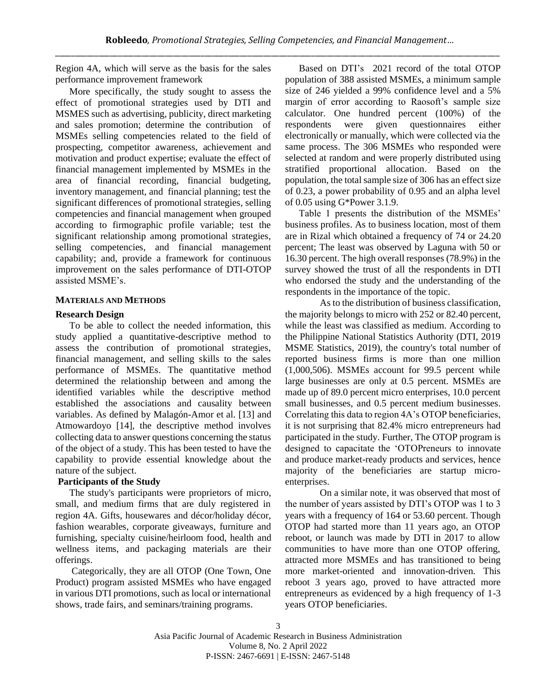Region 4A, which will serve as the basis for the sales performance improvement framework

More specifically, the study sought to assess the effect of promotional strategies used by DTI and MSMES such as advertising, publicity, direct marketing and sales promotion; determine the contribution of MSMEs selling competencies related to the field of prospecting, competitor awareness, achievement and motivation and product expertise; evaluate the effect of financial management implemented by MSMEs in the area of financial recording, financial budgeting, inventory management, and financial planning; test the significant differences of promotional strategies, selling competencies and financial management when grouped according to firmographic profile variable; test the significant relationship among promotional strategies, selling competencies, and financial management capability; and, provide a framework for continuous improvement on the sales performance of DTI-OTOP assisted MSME's.

#### **MATERIALS AND METHODS**

#### **Research Design**

To be able to collect the needed information, this study applied a quantitative-descriptive method to assess the contribution of promotional strategies, financial management, and selling skills to the sales performance of MSMEs. The quantitative method determined the relationship between and among the identified variables while the descriptive method established the associations and causality between variables. As defined by Malagón-Amor et al. [13] and Atmowardoyo [14], the descriptive method involves collecting data to answer questions concerning the status of the object of a study. This has been tested to have the capability to provide essential knowledge about the nature of the subject.

## **Participants of the Study**

The study's participants were proprietors of micro, small, and medium firms that are duly registered in region 4A. Gifts, housewares and décor/holiday décor, fashion wearables, corporate giveaways, furniture and furnishing, specialty cuisine/heirloom food, health and wellness items, and packaging materials are their offerings.

Categorically, they are all OTOP (One Town, One Product) program assisted MSMEs who have engaged in various DTI promotions, such as local or international shows, trade fairs, and seminars/training programs.

Based on DTI's 2021 record of the total OTOP population of 388 assisted MSMEs, a minimum sample size of 246 yielded a 99% confidence level and a 5% margin of error according to Raosoft's sample size calculator. One hundred percent (100%) of the respondents were given questionnaires either electronically or manually, which were collected via the same process. The 306 MSMEs who responded were selected at random and were properly distributed using stratified proportional allocation. Based on the population, the total sample size of 306 has an effect size of 0.23, a power probability of 0.95 and an alpha level of 0.05 using G\*Power 3.1.9.

Table 1 presents the distribution of the MSMEs' business profiles. As to business location, most of them are in Rizal which obtained a frequency of 74 or 24.20 percent; The least was observed by Laguna with 50 or 16.30 percent. The high overall responses (78.9%) in the survey showed the trust of all the respondents in DTI who endorsed the study and the understanding of the respondents in the importance of the topic.

As to the distribution of business classification, the majority belongs to micro with 252 or 82.40 percent, while the least was classified as medium. According to the Philippine National Statistics Authority (DTI, 2019 MSME Statistics, 2019), the country's total number of reported business firms is more than one million (1,000,506). MSMEs account for 99.5 percent while large businesses are only at 0.5 percent. MSMEs are made up of 89.0 percent micro enterprises, 10.0 percent small businesses, and 0.5 percent medium businesses. Correlating this data to region 4A's OTOP beneficiaries, it is not surprising that 82.4% micro entrepreneurs had participated in the study. Further, The OTOP program is designed to capacitate the 'OTOPreneurs to innovate and produce market-ready products and services, hence majority of the beneficiaries are startup microenterprises.

On a similar note, it was observed that most of the number of years assisted by DTI's OTOP was 1 to 3 years with a frequency of 164 or 53.60 percent. Though OTOP had started more than 11 years ago, an OTOP reboot, or launch was made by DTI in 2017 to allow communities to have more than one OTOP offering, attracted more MSMEs and has transitioned to being more market-oriented and innovation-driven. This reboot 3 years ago, proved to have attracted more entrepreneurs as evidenced by a high frequency of 1-3 years OTOP beneficiaries.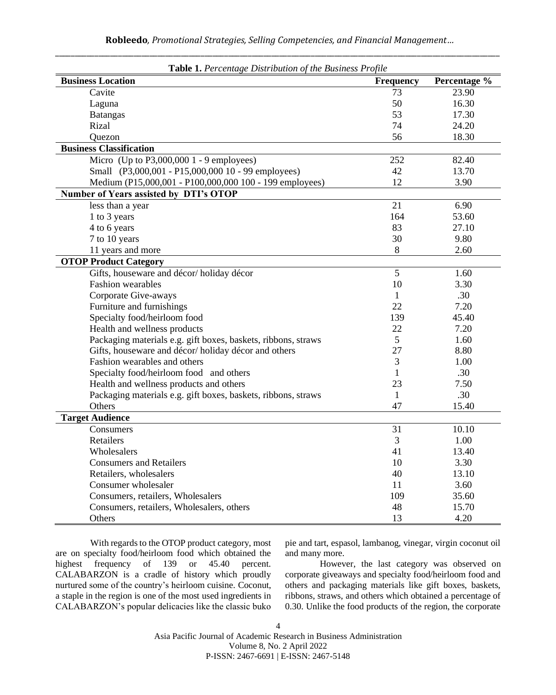| Table 1. Percentage Distribution of the Business Profile      |              |              |  |
|---------------------------------------------------------------|--------------|--------------|--|
| <b>Business Location</b>                                      | Frequency    | Percentage % |  |
| Cavite                                                        | 73           | 23.90        |  |
| Laguna                                                        | 50           | 16.30        |  |
| <b>Batangas</b>                                               | 53           | 17.30        |  |
| Rizal                                                         | 74           | 24.20        |  |
| Quezon                                                        | 56           | 18.30        |  |
| <b>Business Classification</b>                                |              |              |  |
| Micro (Up to $P3,000,0001 - 9$ employees)                     | 252          | 82.40        |  |
| Small (P3,000,001 - P15,000,000 10 - 99 employees)            | 42           | 13.70        |  |
| Medium (P15,000,001 - P100,000,000 100 - 199 employees)       | 12           | 3.90         |  |
| Number of Years assisted by DTI's OTOP                        |              |              |  |
| less than a year                                              | 21           | 6.90         |  |
| 1 to 3 years                                                  | 164          | 53.60        |  |
| 4 to 6 years                                                  | 83           | 27.10        |  |
| 7 to 10 years                                                 | 30           | 9.80         |  |
| 11 years and more                                             | 8            | 2.60         |  |
| <b>OTOP Product Category</b>                                  |              |              |  |
| Gifts, houseware and décor/holiday décor                      | 5            | 1.60         |  |
| <b>Fashion</b> wearables                                      | 10           | 3.30         |  |
| Corporate Give-aways                                          | $\mathbf{1}$ | .30          |  |
| Furniture and furnishings                                     | 22           | 7.20         |  |
| Specialty food/heirloom food                                  | 139          | 45.40        |  |
| Health and wellness products                                  | 22           | 7.20         |  |
| Packaging materials e.g. gift boxes, baskets, ribbons, straws | 5            | 1.60         |  |
| Gifts, houseware and décor/holiday décor and others           | 27           | 8.80         |  |
| Fashion wearables and others                                  | 3            | 1.00         |  |
| Specialty food/heirloom food and others                       | 1            | .30          |  |
| Health and wellness products and others                       | 23           | 7.50         |  |
| Packaging materials e.g. gift boxes, baskets, ribbons, straws | $\mathbf{1}$ | .30          |  |
| Others                                                        | 47           | 15.40        |  |
| <b>Target Audience</b>                                        |              |              |  |
| Consumers                                                     | 31           | 10.10        |  |
| Retailers                                                     | 3            | 1.00         |  |
| Wholesalers                                                   | 41           | 13.40        |  |
| <b>Consumers and Retailers</b>                                | 10           | 3.30         |  |
| Retailers, wholesalers                                        | 40           | 13.10        |  |
| Consumer wholesaler                                           | 11           | 3.60         |  |
| Consumers, retailers, Wholesalers                             | 109          | 35.60        |  |
| Consumers, retailers, Wholesalers, others                     | 48           | 15.70        |  |
| Others                                                        | 13           | 4.20         |  |

With regards to the OTOP product category, most are on specialty food/heirloom food which obtained the highest frequency of 139 or 45.40 percent. CALABARZON is a cradle of history which proudly nurtured some of the country's heirloom cuisine. Coconut, a staple in the region is one of the most used ingredients in CALABARZON's popular delicacies like the classic buko pie and tart, espasol, lambanog, vinegar, virgin coconut oil and many more.

However, the last category was observed on corporate giveaways and specialty food/heirloom food and others and packaging materials like gift boxes, baskets, ribbons, straws, and others which obtained a percentage of 0.30. Unlike the food products of the region, the corporate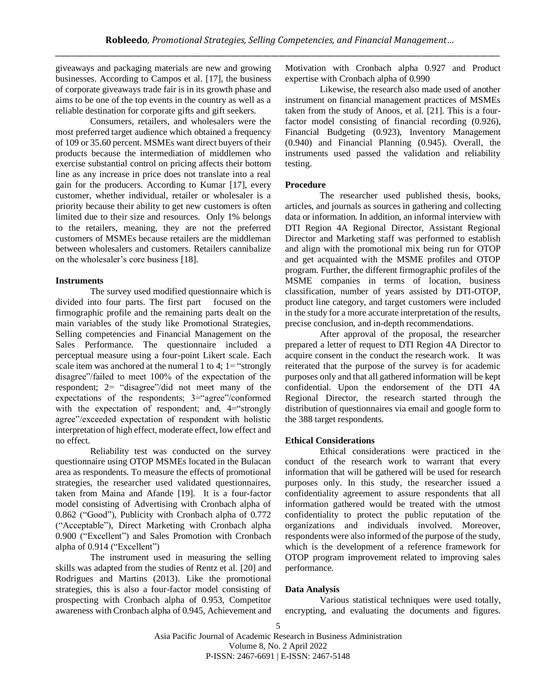giveaways and packaging materials are new and growing businesses. According to Campos et al. [17], the business of corporate giveaways trade fair is in its growth phase and aims to be one of the top events in the country as well as a reliable destination for corporate gifts and gift seekers.

Consumers, retailers, and wholesalers were the most preferred target audience which obtained a frequency of 109 or 35.60 percent. MSMEs want direct buyers of their products because the intermediation of middlemen who exercise substantial control on pricing affects their bottom line as any increase in price does not translate into a real gain for the producers. According to Kumar [17], every customer, whether individual, retailer or wholesaler is a priority because their ability to get new customers is often limited due to their size and resources. Only 1% belongs to the retailers, meaning, they are not the preferred customers of MSMEs because retailers are the middleman between wholesalers and customers. Retailers cannibalize on the wholesaler's core business [18].

#### **Instruments**

The survey used modified questionnaire which is divided into four parts. The first part focused on the firmographic profile and the remaining parts dealt on the main variables of the study like Promotional Strategies, Selling competencies and Financial Management on the Sales Performance. The questionnaire included a perceptual measure using a four-point Likert scale. Each scale item was anchored at the numeral 1 to 4;  $1 =$  "strongly disagree"/failed to meet 100% of the expectation of the respondent; 2= "disagree"/did not meet many of the expectations of the respondents; 3="agree"/conformed with the expectation of respondent; and, 4="strongly agree"/exceeded expectation of respondent with holistic interpretation of high effect, moderate effect, low effect and no effect.

Reliability test was conducted on the survey questionnaire using OTOP MSMEs located in the Bulacan area as respondents. To measure the effects of promotional strategies, the researcher used validated questionnaires, taken from Maina and Afande [19]. It is a four-factor model consisting of Advertising with Cronbach alpha of 0.862 ("Good"), Publicity with Cronbach alpha of 0.772 ("Acceptable"), Direct Marketing with Cronbach alpha 0.900 ("Excellent") and Sales Promotion with Cronbach alpha of 0.914 ("Excellent")

The instrument used in measuring the selling skills was adapted from the studies of Rentz et al. [20] and Rodrigues and Martins (2013). Like the promotional strategies, this is also a four-factor model consisting of prospecting with Cronbach alpha of 0.953, Competitor awareness with Cronbach alpha of 0.945, Achievement and Motivation with Cronbach alpha 0.927 and Product expertise with Cronbach alpha of 0.990

Likewise, the research also made used of another instrument on financial management practices of MSMEs taken from the study of Anoos, et al. [21]. This is a fourfactor model consisting of financial recording  $(0.926)$ , Financial Budgeting (0.923), Inventory Management (0.940) and Financial Planning (0.945). Overall, the instruments used passed the validation and reliability testing.

#### **Procedure**

The researcher used published thesis, books, articles, and journals as sources in gathering and collecting data or information. In addition, an informal interview with DTI Region 4A Regional Director, Assistant Regional Director and Marketing staff was performed to establish and align with the promotional mix being run for OTOP and get acquainted with the MSME profiles and OTOP program. Further, the different firmographic profiles of the MSME companies in terms of location, business classification, number of years assisted by DTI-OTOP, product line category, and target customers were included in the study for a more accurate interpretation of the results, precise conclusion, and in-depth recommendations.

After approval of the proposal, the researcher prepared a letter of request to DTI Region 4A Director to acquire consent in the conduct the research work. It was reiterated that the purpose of the survey is for academic purposes only and that all gathered information will be kept confidential. Upon the endorsement of the DTI 4A Regional Director, the research started through the distribution of questionnaires via email and google form to the 388 target respondents.

#### **Ethical Considerations**

Ethical considerations were practiced in the conduct of the research work to warrant that every information that will be gathered will be used for research purposes only. In this study, the researcher issued a confidentiality agreement to assure respondents that all information gathered would be treated with the utmost confidentiality to protect the public reputation of the organizations and individuals involved. Moreover, respondents were also informed of the purpose of the study, which is the development of a reference framework for OTOP program improvement related to improving sales performance.

#### **Data Analysis**

Various statistical techniques were used totally, encrypting, and evaluating the documents and figures.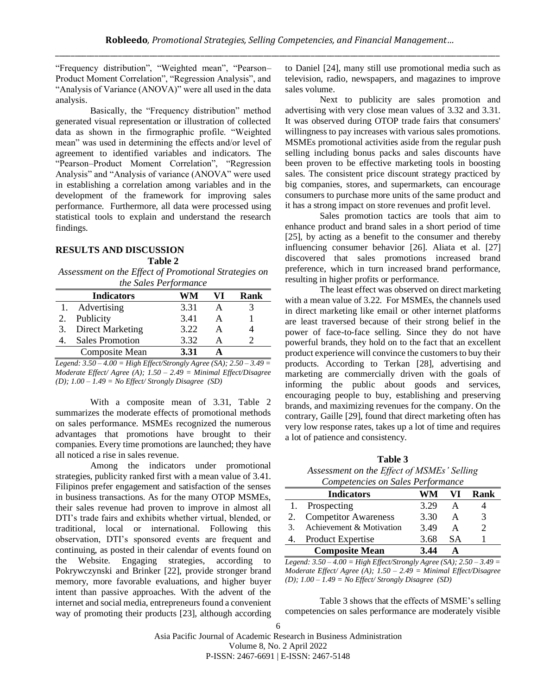"Frequency distribution", "Weighted mean", "Pearson– Product Moment Correlation", "Regression Analysis", and "Analysis of Variance (ANOVA)" were all used in the data analysis.

Basically, the "Frequency distribution" method generated visual representation or illustration of collected data as shown in the firmographic profile. "Weighted mean" was used in determining the effects and/or level of agreement to identified variables and indicators. The "Pearson–Product Moment Correlation", "Regression Analysis" and "Analysis of variance (ANOVA" were used in establishing a correlation among variables and in the development of the framework for improving sales performance. Furthermore, all data were processed using statistical tools to explain and understand the research findings.

#### **RESULTS AND DISCUSSION**

#### **Table 2**

*Assessment on the Effect of Promotional Strategies on the Sales Performance* 

|    |                         | $\mu \nu$ buves 1 error $\mu \nu \nu$ |     |      |
|----|-------------------------|---------------------------------------|-----|------|
|    | <b>Indicators</b>       | WМ                                    | V I | Rank |
|    | 1. Advertising          | 3.31                                  |     |      |
|    | 2. Publicity            | 3.41                                  |     |      |
| 3. | <b>Direct Marketing</b> | 3.22                                  | А   |      |
|    | <b>Sales Promotion</b>  | 3.32                                  |     |      |
|    | Composite Mean          | 3.31                                  |     |      |

*Legend: 3.50 – 4.00 = High Effect/Strongly Agree (SA); 2.50 – 3.49 = Moderate Effect/ Agree (A); 1.50 – 2.49 = Minimal Effect/Disagree (D); 1.00 – 1.49 = No Effect/ Strongly Disagree (SD)*

With a composite mean of 3.31, Table 2 summarizes the moderate effects of promotional methods on sales performance. MSMEs recognized the numerous advantages that promotions have brought to their companies. Every time promotions are launched; they have all noticed a rise in sales revenue.

Among the indicators under promotional strategies, publicity ranked first with a mean value of 3.41. Filipinos prefer engagement and satisfaction of the senses in business transactions. As for the many OTOP MSMEs, their sales revenue had proven to improve in almost all DTI's trade fairs and exhibits whether virtual, blended, or traditional, local or international. Following this observation, DTI's sponsored events are frequent and continuing, as posted in their calendar of events found on the Website. Engaging strategies, according to Pokrywczynski and Brinker [22], provide stronger brand memory, more favorable evaluations, and higher buyer intent than passive approaches. With the advent of the internet and social media, entrepreneurs found a convenient way of promoting their products [23], although according to Daniel [24], many still use promotional media such as television, radio, newspapers, and magazines to improve sales volume.

Next to publicity are sales promotion and advertising with very close mean values of 3.32 and 3.31. It was observed during OTOP trade fairs that consumers' willingness to pay increases with various sales promotions. MSMEs promotional activities aside from the regular push selling including bonus packs and sales discounts have been proven to be effective marketing tools in boosting sales. The consistent price discount strategy practiced by big companies, stores, and supermarkets, can encourage consumers to purchase more units of the same product and it has a strong impact on store revenues and profit level.

Sales promotion tactics are tools that aim to enhance product and brand sales in a short period of time [25], by acting as a benefit to the consumer and thereby influencing consumer behavior [26]. Aliata et al. [27] discovered that sales promotions increased brand preference, which in turn increased brand performance, resulting in higher profits or performance.

The least effect was observed on direct marketing with a mean value of 3.22. For MSMEs, the channels used in direct marketing like email or other internet platforms are least traversed because of their strong belief in the power of face-to-face selling. Since they do not have powerful brands, they hold on to the fact that an excellent product experience will convince the customers to buy their products. According to Terkan [28], advertising and marketing are commercially driven with the goals of informing the public about goods and services, encouraging people to buy, establishing and preserving brands, and maximizing revenues for the company. On the contrary, Gaille [29], found that direct marketing often has very low response rates, takes up a lot of time and requires a lot of patience and consistency.

**Table 3** *Assessment on the Effect of MSMEs' Selling Competencies on Sales Performance* 

|                | Competencies on suics I criprinuitec |      |           |      |
|----------------|--------------------------------------|------|-----------|------|
|                | <b>Indicators</b>                    | WM   | VI        | Rank |
|                | Prospecting                          | 3.29 |           |      |
|                | <b>Competitor Awareness</b>          | 3.30 | A         |      |
| 3 <sub>1</sub> | Achievement & Motivation             | 3.49 | А         |      |
|                | <b>Product Expertise</b>             | 3.68 | <b>SA</b> |      |
|                | <b>Composite Mean</b>                | 3.44 |           |      |

*Legend: 3.50 – 4.00 = High Effect/Strongly Agree (SA); 2.50 – 3.49 = Moderate Effect/ Agree (A); 1.50 – 2.49 = Minimal Effect/Disagree (D); 1.00 – 1.49 = No Effect/ Strongly Disagree (SD)*

Table 3 shows that the effects of MSME's selling competencies on sales performance are moderately visible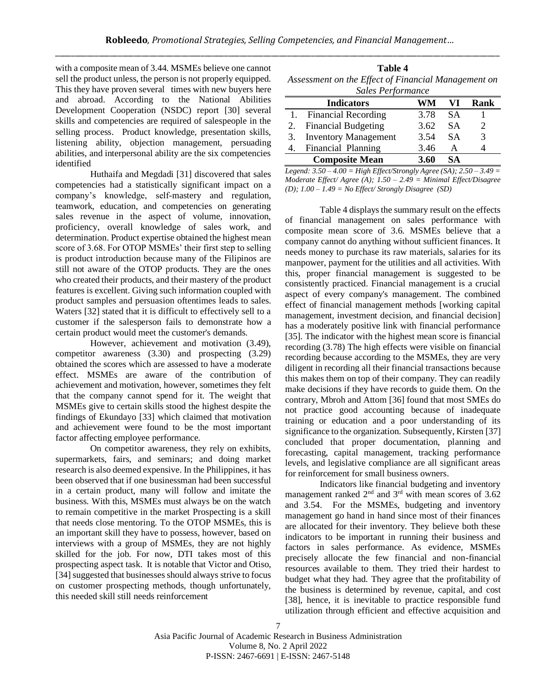with a composite mean of 3.44. MSMEs believe one cannot sell the product unless, the person is not properly equipped. This they have proven several times with new buyers here and abroad. According to the National Abilities Development Cooperation (NSDC) report [30] several skills and competencies are required of salespeople in the selling process. Product knowledge, presentation skills, listening ability, objection management, persuading abilities, and interpersonal ability are the six competencies identified

Huthaifa and Megdadi [31] discovered that sales competencies had a statistically significant impact on a company's knowledge, self-mastery and regulation, teamwork, education, and competencies on generating sales revenue in the aspect of volume, innovation, proficiency, overall knowledge of sales work, and determination. Product expertise obtained the highest mean score of 3.68. For OTOP MSMEs' their first step to selling is product introduction because many of the Filipinos are still not aware of the OTOP products. They are the ones who created their products, and their mastery of the product features is excellent. Giving such information coupled with product samples and persuasion oftentimes leads to sales. Waters [32] stated that it is difficult to effectively sell to a customer if the salesperson fails to demonstrate how a certain product would meet the customer's demands.

However, achievement and motivation (3.49), competitor awareness (3.30) and prospecting (3.29) obtained the scores which are assessed to have a moderate effect. MSMEs are aware of the contribution of achievement and motivation, however, sometimes they felt that the company cannot spend for it. The weight that MSMEs give to certain skills stood the highest despite the findings of Ekundayo [33] which claimed that motivation and achievement were found to be the most important factor affecting employee performance.

On competitor awareness, they rely on exhibits, supermarkets, fairs, and seminars; and doing market research is also deemed expensive. In the Philippines, it has been observed that if one businessman had been successful in a certain product, many will follow and imitate the business. With this, MSMEs must always be on the watch to remain competitive in the market Prospecting is a skill that needs close mentoring. To the OTOP MSMEs, this is an important skill they have to possess, however, based on interviews with a group of MSMEs, they are not highly skilled for the job. For now, DTI takes most of this prospecting aspect task. It is notable that Victor and Otiso, [34] suggested that businesses should always strive to focus on customer prospecting methods, though unfortunately, this needed skill still needs reinforcement

| Table 4                                             |  |
|-----------------------------------------------------|--|
| Assessment on the Effect of Financial Management on |  |
| Sales Performance                                   |  |

|    | <b>Indicators</b>           | WM   | VI        | Rank |
|----|-----------------------------|------|-----------|------|
| 1. | <b>Financial Recording</b>  | 3.78 | <b>SA</b> |      |
| 2. | <b>Financial Budgeting</b>  | 3.62 | SА        | 2    |
| 3. | <b>Inventory Management</b> | 3.54 | SА        | 3    |
| 4. | Financial Planning          | 3.46 | А         |      |
|    | <b>Composite Mean</b>       | 3.60 | SА        |      |

*Legend: 3.50 – 4.00 = High Effect/Strongly Agree (SA); 2.50 – 3.49 = Moderate Effect/ Agree (A); 1.50 – 2.49 = Minimal Effect/Disagree (D); 1.00 – 1.49 = No Effect/ Strongly Disagree (SD)*

Table 4 displays the summary result on the effects of financial management on sales performance with composite mean score of 3.6. MSMEs believe that a company cannot do anything without sufficient finances. It needs money to purchase its raw materials, salaries for its manpower, payment for the utilities and all activities. With this, proper financial management is suggested to be consistently practiced. Financial management is a crucial aspect of every company's management. The combined effect of financial management methods [working capital management, investment decision, and financial decision] has a moderately positive link with financial performance [35]. The indicator with the highest mean score is financial recording (3.78) The high effects were visible on financial recording because according to the MSMEs, they are very diligent in recording all their financial transactions because this makes them on top of their company. They can readily make decisions if they have records to guide them. On the contrary, Mbroh and Attom [36] found that most SMEs do not practice good accounting because of inadequate training or education and a poor understanding of its significance to the organization. Subsequently, Kirsten [37] concluded that proper documentation, planning and forecasting, capital management, tracking performance levels, and legislative compliance are all significant areas for reinforcement for small business owners.

Indicators like financial budgeting and inventory management ranked 2<sup>nd</sup> and 3<sup>rd</sup> with mean scores of 3.62 and 3.54. For the MSMEs, budgeting and inventory management go hand in hand since most of their finances are allocated for their inventory. They believe both these indicators to be important in running their business and factors in sales performance. As evidence, MSMEs precisely allocate the few financial and non-financial resources available to them. They tried their hardest to budget what they had. They agree that the profitability of the business is determined by revenue, capital, and cost [38], hence, it is inevitable to practice responsible fund utilization through efficient and effective acquisition and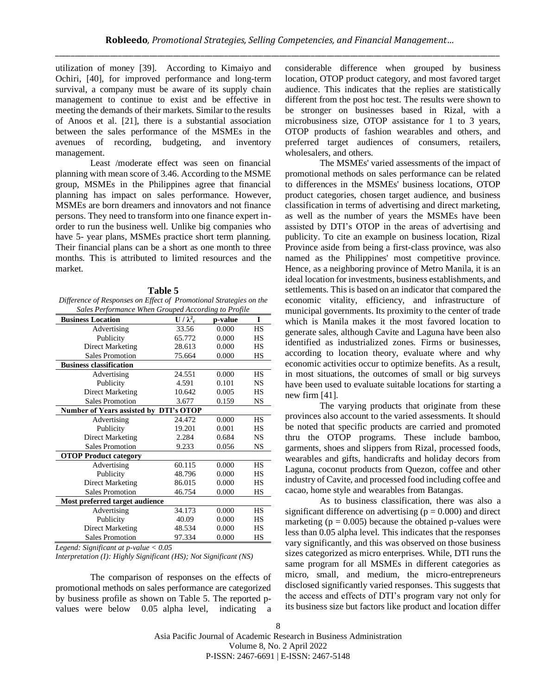utilization of money [39]. According to Kimaiyo and Ochiri, [40], for improved performance and long-term survival, a company must be aware of its supply chain management to continue to exist and be effective in meeting the demands of their markets. Similar to the results of Anoos et al. [21], there is a substantial association between the sales performance of the MSMEs in the avenues of recording, budgeting, and inventory management.

Least /moderate effect was seen on financial planning with mean score of 3.46. According to the MSME group, MSMEs in the Philippines agree that financial planning has impact on sales performance. However, MSMEs are born dreamers and innovators and not finance persons. They need to transform into one finance expert inorder to run the business well. Unlike big companies who have 5- year plans, MSMEs practice short term planning. Their financial plans can be a short as one month to three months. This is attributed to limited resources and the market.

| г<br>п |  |
|--------|--|
|--------|--|

*Difference of Responses on Effect of Promotional Strategies on the Sales Performance When Grouped According to Profile*

| <b>Business Location</b>               | $\mathbf{U}/\lambda_c^2$ | p-value | I         |
|----------------------------------------|--------------------------|---------|-----------|
| Advertising                            | 33.56                    | 0.000   | <b>HS</b> |
| Publicity                              | 65.772                   | 0.000   | HS        |
| Direct Marketing                       | 28.613                   | 0.000   | HS        |
| <b>Sales Promotion</b>                 | 75.664                   | 0.000   | HS        |
| <b>Business classification</b>         |                          |         |           |
| Advertising                            | 24.551                   | 0.000   | <b>HS</b> |
| Publicity                              | 4.591                    | 0.101   | NS        |
| <b>Direct Marketing</b>                | 10.642                   | 0.005   | HS        |
| <b>Sales Promotion</b>                 | 3.677                    | 0.159   | <b>NS</b> |
| Number of Years assisted by DTI's OTOP |                          |         |           |
| Advertising                            | 24.472                   | 0.000   | <b>HS</b> |
| Publicity                              | 19.201                   | 0.001   | HS        |
| <b>Direct Marketing</b>                | 2.284                    | 0.684   | <b>NS</b> |
| <b>Sales Promotion</b>                 | 9.233                    | 0.056   | <b>NS</b> |
| <b>OTOP Product category</b>           |                          |         |           |
| Advertising                            | 60.115                   | 0.000   | <b>HS</b> |
| Publicity                              | 48.796                   | 0.000   | HS        |
| <b>Direct Marketing</b>                | 86.015                   | 0.000   | HS        |
| <b>Sales Promotion</b>                 | 46.754                   | 0.000   | HS        |
| Most preferred target audience         |                          |         |           |
| Advertising                            | 34.173                   | 0.000   | HS        |
| Publicity                              | 40.09                    | 0.000   | HS        |
| Direct Marketing                       | 48.534                   | 0.000   | HS        |
| <b>Sales Promotion</b>                 | 97.334                   | 0.000   | HS        |

*Legend: Significant at p-value < 0.05*

*Interpretation (I): Highly Significant (HS); Not Significant (NS)*

The comparison of responses on the effects of promotional methods on sales performance are categorized by business profile as shown on Table 5. The reported pvalues were below 0.05 alpha level, indicating a

considerable difference when grouped by business location, OTOP product category, and most favored target audience. This indicates that the replies are statistically different from the post hoc test. The results were shown to be stronger on businesses based in Rizal, with a microbusiness size, OTOP assistance for 1 to 3 years, OTOP products of fashion wearables and others, and preferred target audiences of consumers, retailers, wholesalers, and others.

The MSMEs' varied assessments of the impact of promotional methods on sales performance can be related to differences in the MSMEs' business locations, OTOP product categories, chosen target audience, and business classification in terms of advertising and direct marketing, as well as the number of years the MSMEs have been assisted by DTI's OTOP in the areas of advertising and publicity. To cite an example on business location, Rizal Province aside from being a first-class province, was also named as the Philippines' most competitive province. Hence, as a neighboring province of Metro Manila, it is an ideal location for investments, business establishments, and settlements. This is based on an indicator that compared the economic vitality, efficiency, and infrastructure of municipal governments. Its proximity to the center of trade which is Manila makes it the most favored location to generate sales, although Cavite and Laguna have been also identified as industrialized zones. Firms or businesses, according to location theory, evaluate where and why economic activities occur to optimize benefits. As a result, in most situations, the outcomes of small or big surveys have been used to evaluate suitable locations for starting a new firm [41].

The varying products that originate from these provinces also account to the varied assessments. It should be noted that specific products are carried and promoted thru the OTOP programs. These include bamboo, garments, shoes and slippers from Rizal, processed foods, wearables and gifts, handicrafts and holiday decors from Laguna, coconut products from Quezon, coffee and other industry of Cavite, and processed food including coffee and cacao, home style and wearables from Batangas.

As to business classification, there was also a significant difference on advertising ( $p = 0.000$ ) and direct marketing ( $p = 0.005$ ) because the obtained p-values were less than 0.05 alpha level. This indicates that the responses vary significantly, and this was observed on those business sizes categorized as micro enterprises. While, DTI runs the same program for all MSMEs in different categories as micro, small, and medium, the micro-entrepreneurs disclosed significantly varied responses. This suggests that the access and effects of DTI's program vary not only for its business size but factors like product and location differ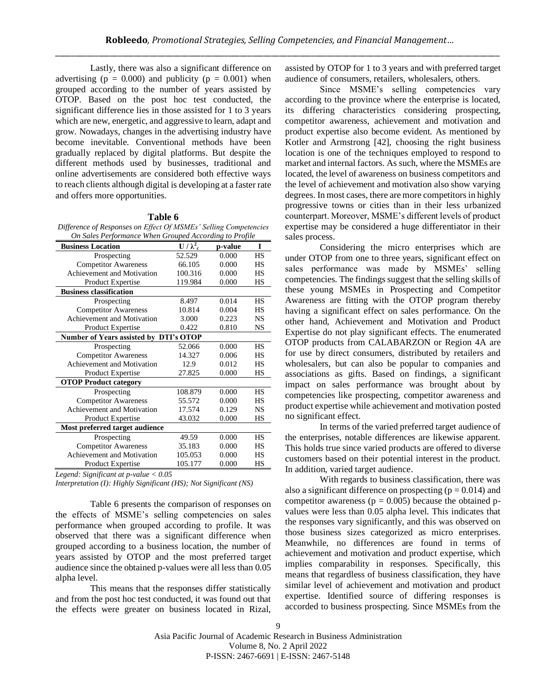Lastly, there was also a significant difference on advertising ( $p = 0.000$ ) and publicity ( $p = 0.001$ ) when grouped according to the number of years assisted by OTOP. Based on the post hoc test conducted, the significant difference lies in those assisted for 1 to 3 years which are new, energetic, and aggressive to learn, adapt and grow. Nowadays, changes in the advertising industry have become inevitable. Conventional methods have been gradually replaced by digital platforms. But despite the different methods used by businesses, traditional and online advertisements are considered both effective ways to reach clients although digital is developing at a faster rate and offers more opportunities.

**Table 6** *Difference of Responses on Effect Of MSMEs' Selling Competencies On Sales Performance When Grouped According to Profile*

| On sules I erformance when Grouped According to Frojhe<br><b>Business Location</b> | $\mathbf{U}/\lambda_c^2$ | p-value | T         |
|------------------------------------------------------------------------------------|--------------------------|---------|-----------|
| Prospecting                                                                        | 52.529                   | 0.000   | <b>HS</b> |
| <b>Competitor Awareness</b>                                                        | 66.105                   | 0.000   | <b>HS</b> |
| Achievement and Motivation                                                         | 100.316                  | 0.000   | HS        |
| <b>Product Expertise</b>                                                           | 119.984                  | 0.000   | HS        |
| <b>Business classification</b>                                                     |                          |         |           |
| Prospecting                                                                        | 8.497                    | 0.014   | HS        |
| <b>Competitor Awareness</b>                                                        | 10.814                   | 0.004   | <b>HS</b> |
| Achievement and Motivation                                                         | 3.000                    | 0.223   | <b>NS</b> |
| Product Expertise                                                                  | 0.422                    | 0.810   | NS        |
| Number of Years assisted by DTI's OTOP                                             |                          |         |           |
| Prospecting                                                                        | 52.066                   | 0.000   | <b>HS</b> |
| <b>Competitor Awareness</b>                                                        | 14.327                   | 0.006   | <b>HS</b> |
| Achievement and Motivation                                                         | 12.9                     | 0.012   | HS        |
| <b>Product Expertise</b>                                                           | 27.825                   | 0.000   | HS        |
| <b>OTOP Product category</b>                                                       |                          |         |           |
| Prospecting                                                                        | 108.879                  | 0.000   | <b>HS</b> |
| <b>Competitor Awareness</b>                                                        | 55.572                   | 0.000   | <b>HS</b> |
| Achievement and Motivation                                                         | 17.574                   | 0.129   | <b>NS</b> |
| Product Expertise                                                                  | 43.032                   | 0.000   | HS        |
| Most preferred target audience                                                     |                          |         |           |
| Prospecting                                                                        | 49.59                    | 0.000   | HS        |
| <b>Competitor Awareness</b>                                                        | 35.183                   | 0.000   | <b>HS</b> |
| Achievement and Motivation                                                         | 105.053                  | 0.000   | HS        |
| Product Expertise                                                                  | 105.177                  | 0.000   | HS        |

*Legend: Significant at p-value < 0.05*

*Interpretation (I): Highly Significant (HS); Not Significant (NS)*

Table 6 presents the comparison of responses on the effects of MSME's selling competencies on sales performance when grouped according to profile. It was observed that there was a significant difference when grouped according to a business location, the number of years assisted by OTOP and the most preferred target audience since the obtained p-values were all less than 0.05 alpha level.

This means that the responses differ statistically and from the post hoc test conducted, it was found out that the effects were greater on business located in Rizal, assisted by OTOP for 1 to 3 years and with preferred target audience of consumers, retailers, wholesalers, others.

Since MSME's selling competencies vary according to the province where the enterprise is located, its differing characteristics considering prospecting, competitor awareness, achievement and motivation and product expertise also become evident. As mentioned by Kotler and Armstrong [42], choosing the right business location is one of the techniques employed to respond to market and internal factors. As such, where the MSMEs are located, the level of awareness on business competitors and the level of achievement and motivation also show varying degrees. In most cases, there are more competitors in highly progressive towns or cities than in their less urbanized counterpart. Moreover, MSME's different levels of product expertise may be considered a huge differentiator in their sales process.

Considering the micro enterprises which are under OTOP from one to three years, significant effect on sales performance was made by MSMEs' selling competencies. The findings suggest that the selling skills of these young MSMEs in Prospecting and Competitor Awareness are fitting with the OTOP program thereby having a significant effect on sales performance. On the other hand, Achievement and Motivation and Product Expertise do not play significant effects. The enumerated OTOP products from CALABARZON or Region 4A are for use by direct consumers, distributed by retailers and wholesalers, but can also be popular to companies and associations as gifts. Based on findings, a significant impact on sales performance was brought about by competencies like prospecting, competitor awareness and product expertise while achievement and motivation posted no significant effect.

In terms of the varied preferred target audience of the enterprises, notable differences are likewise apparent. This holds true since varied products are offered to diverse customers based on their potential interest in the product. In addition, varied target audience.

With regards to business classification, there was also a significant difference on prospecting  $(p = 0.014)$  and competitor awareness ( $p = 0.005$ ) because the obtained pvalues were less than 0.05 alpha level. This indicates that the responses vary significantly, and this was observed on those business sizes categorized as micro enterprises. Meanwhile, no differences are found in terms of achievement and motivation and product expertise, which implies comparability in responses. Specifically, this means that regardless of business classification, they have similar level of achievement and motivation and product expertise. Identified source of differing responses is accorded to business prospecting. Since MSMEs from the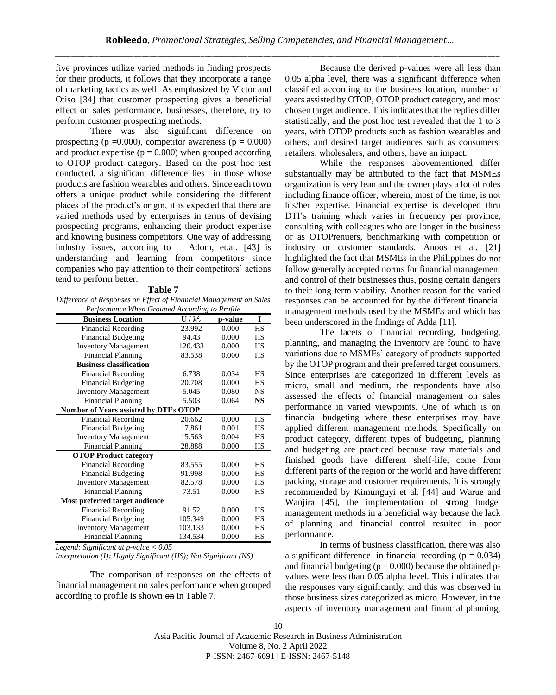five provinces utilize varied methods in finding prospects for their products, it follows that they incorporate a range of marketing tactics as well. As emphasized by Victor and Otiso [34] that customer prospecting gives a beneficial effect on sales performance, businesses, therefore, try to perform customer prospecting methods.

There was also significant difference on prospecting (p = 0.000), competitor awareness (p = 0.000) and product expertise ( $p = 0.000$ ) when grouped according to OTOP product category. Based on the post hoc test conducted, a significant difference lies in those whose products are fashion wearables and others. Since each town offers a unique product while considering the different places of the product's origin, it is expected that there are varied methods used by enterprises in terms of devising prospecting programs, enhancing their product expertise and knowing business competitors. One way of addressing industry issues, according to Adom, et.al. [43] is understanding and learning from competitors since companies who pay attention to their competitors' actions tend to perform better.

| ۰.<br>×<br>٠ |  |
|--------------|--|
|--------------|--|

*Difference of Responses on Effect of Financial Management on Sales Performance When Grouped According to Profile*

| <b>Business Location</b>                      | $U/\lambda_c^2$ | p-value | I         |
|-----------------------------------------------|-----------------|---------|-----------|
| <b>Financial Recording</b>                    | 23.992          | 0.000   | <b>HS</b> |
| <b>Financial Budgeting</b>                    | 94.43           | 0.000   | <b>HS</b> |
| <b>Inventory Management</b>                   | 120.433         | 0.000   | <b>HS</b> |
| <b>Financial Planning</b>                     | 83.538          | 0.000   | HS        |
| <b>Business classification</b>                |                 |         |           |
| <b>Financial Recording</b>                    | 6.738           | 0.034   | <b>HS</b> |
| <b>Financial Budgeting</b>                    | 20.708          | 0.000   | HS        |
| <b>Inventory Management</b>                   | 5.045           | 0.080   | NS        |
| <b>Financial Planning</b>                     | 5.503           | 0.064   | NS        |
| <b>Number of Years assisted by DTI's OTOP</b> |                 |         |           |
| <b>Financial Recording</b>                    | 20.662          | 0.000   | <b>HS</b> |
| <b>Financial Budgeting</b>                    | 17.861          | 0.001   | HS        |
| <b>Inventory Management</b>                   | 15.563          | 0.004   | <b>HS</b> |
| <b>Financial Planning</b>                     | 28.888          | 0.000   | HS        |
| <b>OTOP Product category</b>                  |                 |         |           |
| <b>Financial Recording</b>                    | 83.555          | 0.000   | <b>HS</b> |
| <b>Financial Budgeting</b>                    | 91.998          | 0.000   | HS        |
| <b>Inventory Management</b>                   | 82.578          | 0.000   | <b>HS</b> |
| <b>Financial Planning</b>                     | 73.51           | 0.000   | HS        |
| Most preferred target audience                |                 |         |           |
| <b>Financial Recording</b>                    | 91.52           | 0.000   | <b>HS</b> |
| <b>Financial Budgeting</b>                    | 105.349         | 0.000   | HS        |
| <b>Inventory Management</b>                   | 103.133         | 0.000   | HS        |
| <b>Financial Planning</b>                     | 134.534         | 0.000   | HS        |

*Legend: Significant at p-value < 0.05*

*Interpretation (I): Highly Significant (HS); Not Significant (NS)*

The comparison of responses on the effects of financial management on sales performance when grouped according to profile is shown on in Table 7.

Because the derived p-values were all less than 0.05 alpha level, there was a significant difference when classified according to the business location, number of years assisted by OTOP, OTOP product category, and most chosen target audience. This indicates that the replies differ statistically, and the post hoc test revealed that the 1 to 3 years, with OTOP products such as fashion wearables and others, and desired target audiences such as consumers, retailers, wholesalers, and others, have an impact.

While the responses abovementioned differ substantially may be attributed to the fact that MSMEs organization is very lean and the owner plays a lot of roles including finance officer, wherein, most of the time, is not his/her expertise. Financial expertise is developed thru DTI's training which varies in frequency per province, consulting with colleagues who are longer in the business or as OTOPrenuers, benchmarking with competition or industry or customer standards. Anoos et al. [21] highlighted the fact that MSMEs in the Philippines do not follow generally accepted norms for financial management and control of their businesses thus, posing certain dangers to their long-term viability. Another reason for the varied responses can be accounted for by the different financial management methods used by the MSMEs and which has been underscored in the findings of Adda [11].

The facets of financial recording, budgeting, planning, and managing the inventory are found to have variations due to MSMEs' category of products supported by the OTOP program and their preferred target consumers. Since enterprises are categorized in different levels as micro, small and medium, the respondents have also assessed the effects of financial management on sales performance in varied viewpoints. One of which is on financial budgeting where these enterprises may have applied different management methods. Specifically on product category, different types of budgeting, planning and budgeting are practiced because raw materials and finished goods have different shelf-life, come from different parts of the region or the world and have different packing, storage and customer requirements. It is strongly recommended by Kimunguyi et al. [44] and Warue and Wanjira [45], the implementation of strong budget management methods in a beneficial way because the lack of planning and financial control resulted in poor performance.

In terms of business classification, there was also a significant difference in financial recording  $(p = 0.034)$ and financial budgeting  $(p = 0.000)$  because the obtained pvalues were less than 0.05 alpha level. This indicates that the responses vary significantly, and this was observed in those business sizes categorized as micro. However, in the aspects of inventory management and financial planning,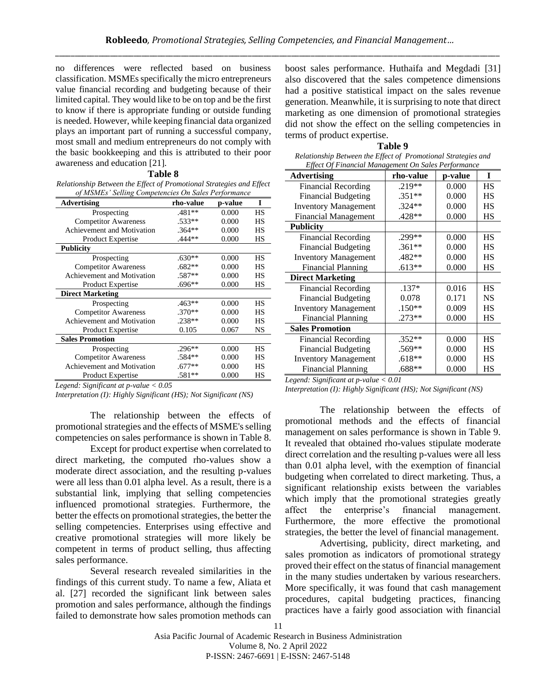no differences were reflected based on business classification. MSMEs specifically the micro entrepreneurs value financial recording and budgeting because of their limited capital. They would like to be on top and be the first to know if there is appropriate funding or outside funding is needed. However, while keeping financial data organized plays an important part of running a successful company, most small and medium entrepreneurs do not comply with the basic bookkeeping and this is attributed to their poor awareness and education [21].

| ١<br>г<br>u<br>٠, |  |
|-------------------|--|
|-------------------|--|

*Relationship Between the Effect of Promotional Strategies and Effect of MSMEs' Selling Competencies On Sales Performance*

| <b>Advertising</b>                | rho-value | p-value | Ī         |
|-----------------------------------|-----------|---------|-----------|
| Prospecting                       | $.481**$  | 0.000   | <b>HS</b> |
| <b>Competitor Awareness</b>       | .533**    | 0.000   | HS        |
| <b>Achievement and Motivation</b> | $.364**$  | 0.000   | HS        |
| <b>Product Expertise</b>          | .444**    | 0.000   | НS        |
| Publicity                         |           |         |           |
| Prospecting                       | $.630**$  | 0.000   | HS        |
| <b>Competitor Awareness</b>       | $.682**$  | 0.000   | <b>HS</b> |
| Achievement and Motivation        | .587**    | 0.000   | HS        |
| <b>Product Expertise</b>          | $.696**$  | 0.000   | HS        |
| <b>Direct Marketing</b>           |           |         |           |
| Prospecting                       | $.463**$  | 0.000   | HS        |
| <b>Competitor Awareness</b>       | $.370**$  | 0.000   | <b>HS</b> |
| Achievement and Motivation        | .238**    | 0.000   | HS        |
| <b>Product Expertise</b>          | 0.105     | 0.067   | <b>NS</b> |
| <b>Sales Promotion</b>            |           |         |           |
| Prospecting                       | $.296**$  | 0.000   | HS        |
| <b>Competitor Awareness</b>       | .584**    | 0.000   | НS        |
| Achievement and Motivation        | $.677**$  | 0.000   | HS        |
| <b>Product Expertise</b>          | .581**    | 0.000   | НS        |

*Legend: Significant at p-value < 0.05* 

*Interpretation (I): Highly Significant (HS); Not Significant (NS)*

The relationship between the effects of promotional strategies and the effects of MSME's selling competencies on sales performance is shown in Table 8.

Except for product expertise when correlated to direct marketing, the computed rho-values show a moderate direct association, and the resulting p-values were all less than 0.01 alpha level. As a result, there is a substantial link, implying that selling competencies influenced promotional strategies. Furthermore, the better the effects on promotional strategies, the better the selling competencies. Enterprises using effective and creative promotional strategies will more likely be competent in terms of product selling, thus affecting sales performance.

Several research revealed similarities in the findings of this current study. To name a few, Aliata et al. [27] recorded the significant link between sales promotion and sales performance, although the findings failed to demonstrate how sales promotion methods can boost sales performance. Huthaifa and Megdadi [31] also discovered that the sales competence dimensions had a positive statistical impact on the sales revenue generation. Meanwhile, it is surprising to note that direct marketing as one dimension of promotional strategies did not show the effect on the selling competencies in terms of product expertise.

**Table 9** *Relationship Between the Effect of Promotional Strategies and Effect Of Financial Management On Sales Performance*

| едесь од г тапста тападетет оп завез г егјогтапсе |           |         |    |
|---------------------------------------------------|-----------|---------|----|
| <b>Advertising</b>                                | rho-value | p-value | I  |
| <b>Financial Recording</b>                        | .219**    | 0.000   | HS |
| <b>Financial Budgeting</b>                        | $.351**$  | 0.000   | HS |
| <b>Inventory Management</b>                       | .324**    | 0.000   | HS |
| <b>Financial Management</b>                       | .428**    | 0.000   | HS |
| <b>Publicity</b>                                  |           |         |    |
| <b>Financial Recording</b>                        | .299**    | 0.000   | HS |
| <b>Financial Budgeting</b>                        | $.361**$  | 0.000   | HS |
| <b>Inventory Management</b>                       | .482**    | 0.000   | HS |
| <b>Financial Planning</b>                         | $.613**$  | 0.000   | HS |
| <b>Direct Marketing</b>                           |           |         |    |
| <b>Financial Recording</b>                        | $.137*$   | 0.016   | HS |
| <b>Financial Budgeting</b>                        | 0.078     | 0.171   | NS |
| <b>Inventory Management</b>                       | $.150**$  | 0.009   | HS |
| <b>Financial Planning</b>                         | $.273**$  | 0.000   | HS |
| <b>Sales Promotion</b>                            |           |         |    |
| <b>Financial Recording</b>                        | .352**    | 0.000   | HS |
| <b>Financial Budgeting</b>                        | .569**    | 0.000   | HS |
| <b>Inventory Management</b>                       | $.618**$  | 0.000   | HS |
| <b>Financial Planning</b>                         | $.688**$  | 0.000   | HS |

*Legend: Significant at p-value < 0.01* 

*Interpretation (I): Highly Significant (HS); Not Significant (NS)*

The relationship between the effects of promotional methods and the effects of financial management on sales performance is shown in Table 9. It revealed that obtained rho-values stipulate moderate direct correlation and the resulting p-values were all less than 0.01 alpha level, with the exemption of financial budgeting when correlated to direct marketing. Thus, a significant relationship exists between the variables which imply that the promotional strategies greatly affect the enterprise's financial management. Furthermore, the more effective the promotional strategies, the better the level of financial management.

Advertising, publicity, direct marketing, and sales promotion as indicators of promotional strategy proved their effect on the status of financial management in the many studies undertaken by various researchers. More specifically, it was found that cash management procedures, capital budgeting practices, financing practices have a fairly good association with financial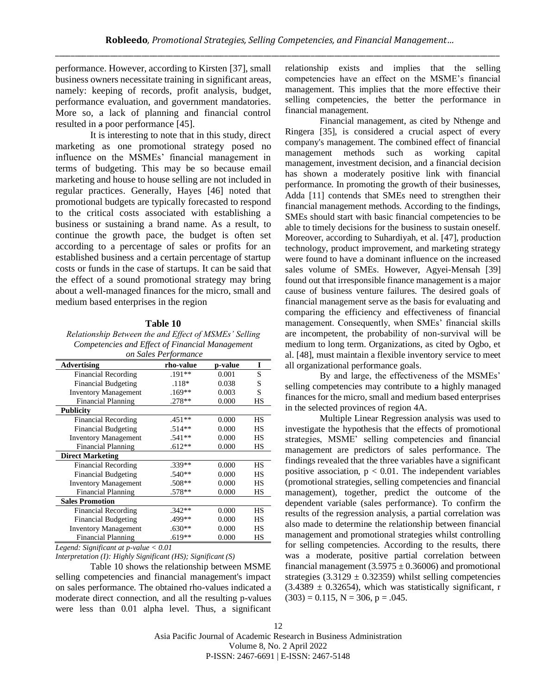performance. However, according to Kirsten [37], small business owners necessitate training in significant areas, namely: keeping of records, profit analysis, budget, performance evaluation, and government mandatories. More so, a lack of planning and financial control resulted in a poor performance [45].

It is interesting to note that in this study, direct marketing as one promotional strategy posed no influence on the MSMEs' financial management in terms of budgeting. This may be so because email marketing and house to house selling are not included in regular practices. Generally, Hayes [46] noted that promotional budgets are typically forecasted to respond to the critical costs associated with establishing a business or sustaining a brand name. As a result, to continue the growth pace, the budget is often set according to a percentage of sales or profits for an established business and a certain percentage of startup costs or funds in the case of startups. It can be said that the effect of a sound promotional strategy may bring about a well-managed finances for the micro, small and medium based enterprises in the region

# **Table 10**

*Relationship Between the and Effect of MSMEs' Selling Competencies and Effect of Financial Management on Sales Performance*

| <i>on bates Lerjormance</i> |           |         |    |  |  |
|-----------------------------|-----------|---------|----|--|--|
| <b>Advertising</b>          | rho-value | p-value | I  |  |  |
| <b>Financial Recording</b>  | .191**    | 0.001   | S  |  |  |
| <b>Financial Budgeting</b>  | $.118*$   | 0.038   | S  |  |  |
| <b>Inventory Management</b> | $.169**$  | 0.003   | S  |  |  |
| <b>Financial Planning</b>   | .278**    | 0.000   | HS |  |  |
| <b>Publicity</b>            |           |         |    |  |  |
| <b>Financial Recording</b>  | .451**    | 0.000   | HS |  |  |
| <b>Financial Budgeting</b>  | $.514**$  | 0.000   | HS |  |  |
| <b>Inventory Management</b> | $.541**$  | 0.000   | HS |  |  |
| <b>Financial Planning</b>   | $.612**$  | 0.000   | HS |  |  |
| <b>Direct Marketing</b>     |           |         |    |  |  |
| <b>Financial Recording</b>  | .339**    | 0.000   | HS |  |  |
| <b>Financial Budgeting</b>  | $.540**$  | 0.000   | HS |  |  |
| <b>Inventory Management</b> | .508**    | 0.000   | HS |  |  |
| <b>Financial Planning</b>   | .578**    | 0.000   | HS |  |  |
| <b>Sales Promotion</b>      |           |         |    |  |  |
| <b>Financial Recording</b>  | $.342**$  | 0.000   | HS |  |  |
| <b>Financial Budgeting</b>  | .499**    | 0.000   | HS |  |  |
| <b>Inventory Management</b> | $.630**$  | 0.000   | HS |  |  |
| <b>Financial Planning</b>   | $.619**$  | 0.000   | HS |  |  |

*Legend: Significant at p-value < 0.01* 

*Interpretation (I): Highly Significant (HS); Significant (S)*

Table 10 shows the relationship between MSME selling competencies and financial management's impact on sales performance. The obtained rho-values indicated a moderate direct connection, and all the resulting p-values were less than 0.01 alpha level. Thus, a significant relationship exists and implies that the selling competencies have an effect on the MSME's financial management. This implies that the more effective their selling competencies, the better the performance in financial management.

Financial management, as cited by Nthenge and Ringera [35], is considered a crucial aspect of every company's management. The combined effect of financial management methods such as working capital management, investment decision, and a financial decision has shown a moderately positive link with financial performance. In promoting the growth of their businesses, Adda [11] contends that SMEs need to strengthen their financial management methods. According to the findings, SMEs should start with basic financial competencies to be able to timely decisions for the business to sustain oneself. Moreover, according to Suhardiyah, et al. [47], production technology, product improvement, and marketing strategy were found to have a dominant influence on the increased sales volume of SMEs. However, Agyei-Mensah [39] found out that irresponsible finance management is a major cause of business venture failures. The desired goals of financial management serve as the basis for evaluating and comparing the efficiency and effectiveness of financial management. Consequently, when SMEs' financial skills are incompetent, the probability of non-survival will be medium to long term. Organizations, as cited by Ogbo, et al. [48], must maintain a flexible inventory service to meet all organizational performance goals.

By and large, the effectiveness of the MSMEs' selling competencies may contribute to a highly managed finances for the micro, small and medium based enterprises in the selected provinces of region 4A.

Multiple Linear Regression analysis was used to investigate the hypothesis that the effects of promotional strategies, MSME' selling competencies and financial management are predictors of sales performance. The findings revealed that the three variables have a significant positive association,  $p < 0.01$ . The independent variables (promotional strategies, selling competencies and financial management), together, predict the outcome of the dependent variable (sales performance). To confirm the results of the regression analysis, a partial correlation was also made to determine the relationship between financial management and promotional strategies whilst controlling for selling competencies. According to the results, there was a moderate, positive partial correlation between financial management  $(3.5975 \pm 0.36006)$  and promotional strategies  $(3.3129 \pm 0.32359)$  whilst selling competencies  $(3.4389 \pm 0.32654)$ , which was statistically significant, r  $(303) = 0.115$ , N = 306, p = .045.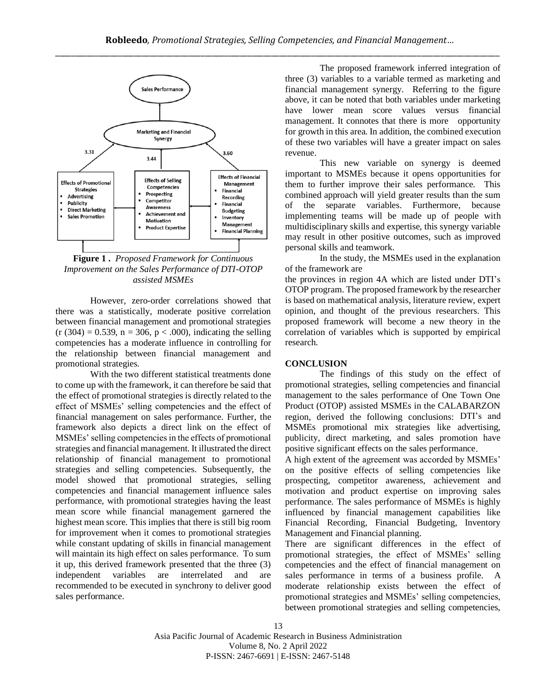

**Figure 1 .** *Proposed Framework for Continuous Improvement on the Sales Performance of DTI-OTOP assisted MSMEs*

However, zero-order correlations showed that there was a statistically, moderate positive correlation between financial management and promotional strategies  $(r (304) = 0.539, n = 306, p < .000)$ , indicating the selling competencies has a moderate influence in controlling for the relationship between financial management and promotional strategies.

With the two different statistical treatments done to come up with the framework, it can therefore be said that the effect of promotional strategies is directly related to the effect of MSMEs' selling competencies and the effect of financial management on sales performance. Further, the framework also depicts a direct link on the effect of MSMEs' selling competencies in the effects of promotional strategies and financial management. It illustrated the direct relationship of financial management to promotional strategies and selling competencies. Subsequently, the model showed that promotional strategies, selling competencies and financial management influence sales performance, with promotional strategies having the least mean score while financial management garnered the highest mean score. This implies that there is still big room for improvement when it comes to promotional strategies while constant updating of skills in financial management will maintain its high effect on sales performance. To sum it up, this derived framework presented that the three (3) independent variables are interrelated and are recommended to be executed in synchrony to deliver good sales performance.

The proposed framework inferred integration of three (3) variables to a variable termed as marketing and financial management synergy. Referring to the figure above, it can be noted that both variables under marketing have lower mean score values versus financial management. It connotes that there is more opportunity for growth in this area. In addition, the combined execution of these two variables will have a greater impact on sales revenue.

This new variable on synergy is deemed important to MSMEs because it opens opportunities for them to further improve their sales performance. This combined approach will yield greater results than the sum of the separate variables. Furthermore, because implementing teams will be made up of people with multidisciplinary skills and expertise, this synergy variable may result in other positive outcomes, such as improved personal skills and teamwork.

In the study, the MSMEs used in the explanation of the framework are

the provinces in region 4A which are listed under DTI's OTOP program. The proposed framework by the researcher is based on mathematical analysis, literature review, expert opinion, and thought of the previous researchers. This proposed framework will become a new theory in the correlation of variables which is supported by empirical research.

#### **CONCLUSION**

The findings of this study on the effect of promotional strategies, selling competencies and financial management to the sales performance of One Town One Product (OTOP) assisted MSMEs in the CALABARZON region, derived the following conclusions: DTI's and MSMEs promotional mix strategies like advertising, publicity, direct marketing, and sales promotion have positive significant effects on the sales performance.

A high extent of the agreement was accorded by MSMEs' on the positive effects of selling competencies like prospecting, competitor awareness, achievement and motivation and product expertise on improving sales performance. The sales performance of MSMEs is highly influenced by financial management capabilities like Financial Recording, Financial Budgeting, Inventory Management and Financial planning.

There are significant differences in the effect of promotional strategies, the effect of MSMEs' selling competencies and the effect of financial management on sales performance in terms of a business profile. A moderate relationship exists between the effect of promotional strategies and MSMEs' selling competencies, between promotional strategies and selling competencies,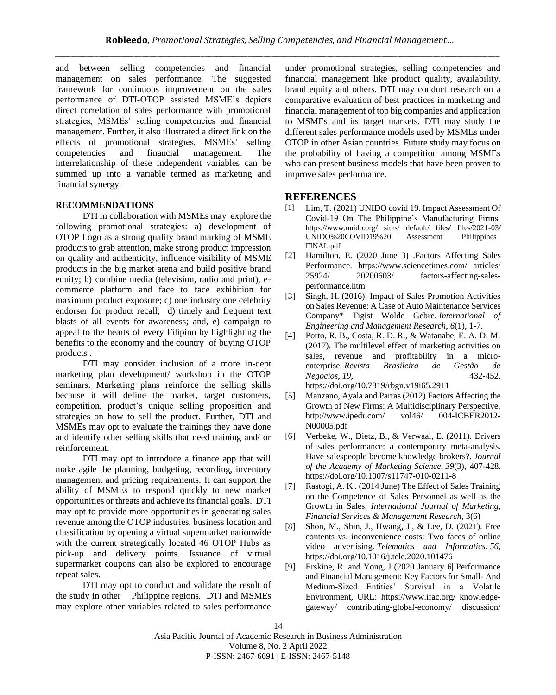and between selling competencies and financial management on sales performance. The suggested framework for continuous improvement on the sales performance of DTI-OTOP assisted MSME's depicts direct correlation of sales performance with promotional strategies, MSMEs' selling competencies and financial management. Further, it also illustrated a direct link on the effects of promotional strategies, MSMEs' selling competencies and financial management. The interrelationship of these independent variables can be summed up into a variable termed as marketing and financial synergy.

## **RECOMMENDATIONS**

DTI in collaboration with MSMEs may explore the following promotional strategies: a) development of OTOP Logo as a strong quality brand marking of MSME products to grab attention, make strong product impression on quality and authenticity, influence visibility of MSME products in the big market arena and build positive brand equity; b) combine media (television, radio and print), ecommerce platform and face to face exhibition for maximum product exposure; c) one industry one celebrity endorser for product recall; d) timely and frequent text blasts of all events for awareness; and, e) campaign to appeal to the hearts of every Filipino by highlighting the benefits to the economy and the country of buying OTOP products .

DTI may consider inclusion of a more in-dept marketing plan development/ workshop in the OTOP seminars. Marketing plans reinforce the selling skills because it will define the market, target customers, competition, product's unique selling proposition and strategies on how to sell the product. Further, DTI and MSMEs may opt to evaluate the trainings they have done and identify other selling skills that need training and/ or reinforcement.

DTI may opt to introduce a finance app that will make agile the planning, budgeting, recording, inventory management and pricing requirements. It can support the ability of MSMEs to respond quickly to new market opportunities or threats and achieve its financial goals. DTI may opt to provide more opportunities in generating sales revenue among the OTOP industries, business location and classification by opening a virtual supermarket nationwide with the current strategically located 46 OTOP Hubs as pick-up and delivery points. Issuance of virtual supermarket coupons can also be explored to encourage repeat sales.

DTI may opt to conduct and validate the result of the study in other Philippine regions. DTI and MSMEs may explore other variables related to sales performance under promotional strategies, selling competencies and financial management like product quality, availability, brand equity and others. DTI may conduct research on a comparative evaluation of best practices in marketing and financial management of top big companies and application to MSMEs and its target markets. DTI may study the different sales performance models used by MSMEs under OTOP in other Asian countries. Future study may focus on the probability of having a competition among MSMEs who can present business models that have been proven to improve sales performance.

# **REFERENCES**

- [1] Lim, T. (2021) UNIDO covid 19. Impact Assessment Of Covid-19 On The Philippine's Manufacturing Firms. https://www.unido.org/ sites/ default/ files/ files/2021-03/ UNIDO%20COVID19%20 Assessment\_ Philippines\_ FINAL.pdf
- [2] Hamilton, E. (2020 June 3) .Factors Affecting Sales Performance. https://www.sciencetimes.com/ articles/ 25924/ 20200603/ factors-affecting-salesperformance.htm
- [3] Singh, H. (2016). Impact of Sales Promotion Activities on Sales Revenue: A Case of Auto Maintenance Services Company\* Tigist Wolde Gebre. *International of Engineering and Management Research*, *6*(1), 1-7.
- [4] Porto, R. B., Costa, R. D. R., & Watanabe, E. A. D. M. (2017). The multilevel effect of marketing activities on sales, revenue and profitability in a microenterprise. *Revista Brasileira de Gestão de Negócios*, *19*, 432-452. <https://doi.org/10.7819/rbgn.v19i65.2911>
- [5] Manzano, Ayala and Parras (2012) Factors Affecting the Growth of New Firms: A Multidisciplinary Perspective, http://www.ipedr.com/ vol46/ 004-ICBER2012- N00005.pdf
- [6] Verbeke, W., Dietz, B., & Verwaal, E. (2011). Drivers of sales performance: a contemporary meta-analysis. Have salespeople become knowledge brokers?. *Journal of the Academy of Marketing Science*, *39*(3), 407-428. <https://doi.org/10.1007/s11747-010-0211-8>
- [7] Rastogi, A. K . (2014 June) The Effect of Sales Training on the Competence of Sales Personnel as well as the Growth in Sales. *International Journal of Marketing, Financial Services & Management Research*, 3(6)
- [8] Shon, M., Shin, J., Hwang, J., & Lee, D. (2021). Free contents vs. inconvenience costs: Two faces of online video advertising. *Telematics and Informatics*, *56*, https://doi.org/10.1016/j.tele.2020.101476
- [9] Erskine, R. and Yong, J (2020 January 6| Performance and Financial Management: Key Factors for Small- And Medium-Sized Entities' Survival in a Volatile Environment, URL: https://www.ifac.org/ knowledgegateway/ contributing-global-economy/ discussion/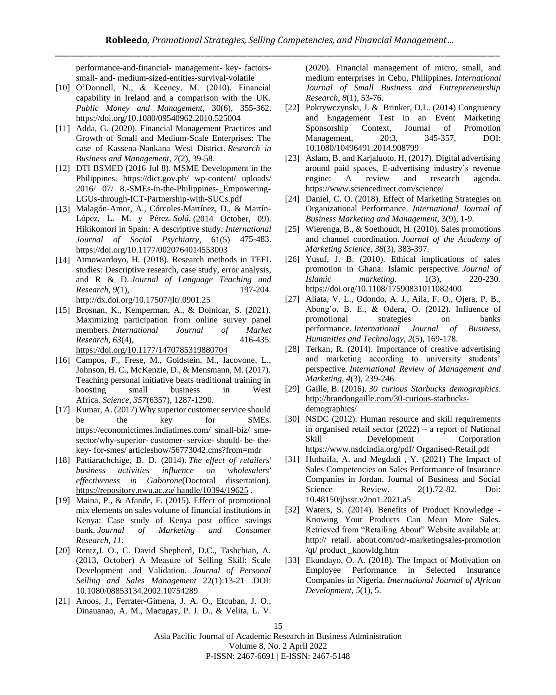performance-and-financial- management- key- factorssmall- and- medium-sized-entities-survival-volatile

- [10] O'Donnell, N., & Keeney, M. (2010). Financial capability in Ireland and a comparison with the UK. *Public Money and Management*, 30(6), 355-362. https://doi.org/10.1080/09540962.2010.525004
- [11] Adda, G. (2020). Financial Management Practices and Growth of Small and Medium-Scale Enterprises: The case of Kassena-Nankana West District. *Research in Business and Management*, *7*(2), 39-58.
- [12] DTI BSMED (2016 Jul 8). MSME Development in the Philippines. https://dict.gov.ph/ wp-content/ uploads/ 2016/ 07/ 8.-SMEs-in-the-Philippines-\_Empowering-LGUs-through-ICT-Partnership-with-SUCs.pdf
- [13] Malagón-Amor, A., Córcoles-Martínez, D., & Martín-López, L. M. y Pérez. *Solá*, (2014 October, 09). Hikikomori in Spain: A descriptive study. *International Journal of Social Psychiatry,* 61(5) 475-483. https://doi.org/10.1177/0020764014553003
- [14] Atmowardoyo, H. (2018). Research methods in TEFL studies: Descriptive research, case study, error analysis, and R & D. *Journal of Language Teaching and Research*, *9*(1), 197-204. http://dx.doi.org/10.17507/jltr.0901.25
- [15] Brosnan, K., Kemperman, A., & Dolnicar, S. (2021). Maximizing participation from online survey panel members. *International Journal of Market Research*, *63*(4), 416-435. [https://doi.org/10.1177/1470785319880704](https://doi.org/10.1177%2F1470785319880704)
- [16] Campos, F., Frese, M., Goldstein, M., Iacovone, L., Johnson, H. C., McKenzie, D., & Mensmann, M. (2017). Teaching personal initiative beats traditional training in boosting small business in West Africa. *Science*, *357*(6357), 1287-1290.
- [17] Kumar, A. (2017) Why superior customer service should be the key for SMEs. https://economictimes.indiatimes.com/ small-biz/ smesector/why-superior- customer- service- should- be- thekey- for-smes/ articleshow/56773042.cms?from=mdr
- [18] Pattiarachchige, B. D. (2014). *The effect of retailers' business activities influence on wholesalers' effectiveness in Gaborone*(Doctoral dissertation). [https://repository.nwu.ac.za/ handle/10394/19625](https://repository.nwu.ac.za/handle/10394/19625).
- [19] Maina, P., & Afande, F. (2015). Effect of promotional mix elements on sales volume of financial institutions in Kenya: Case study of Kenya post office savings bank. *Journal of Marketing and Consumer Research*, *11*.
- [20] Rentz,J. O., C. David Shepherd, D.C., Tashchian, A. (2013, October) A Measure of Selling Skill: Scale Development and Validation. *Journal of Personal Selling and Sales Management* 22(1):13-21 .DOI: 10.1080/08853134.2002.10754289
- [21] Anoos, J., Ferrater-Gimena, J. A. O., Etcuban, J. O., Dinauanao, A. M., Macugay, P. J. D., & Velita, L. V.

(2020). Financial management of micro, small, and medium enterprises in Cebu, Philippines. *International Journal of Small Business and Entrepreneurship Research*, *8*(1), 53-76.

- [22] Pokrywczynski, J. & Brinker, D.L. (2014) Congruency and Engagement Test in an Event Marketing Sponsorship Context, Journal of Promotion Management, 20:3, 345-357, DOI: 10.1080/10496491.2014.908799
- [23] Aslam, B. and Karjaluoto, H, (2017). Digital advertising around paid spaces, E-advertising industry's revenue engine: A review and research agenda. https://www.sciencedirect.com/science/
- [24] Daniel, C. O. (2018). Effect of Marketing Strategies on Organizational Performance. *International Journal of Business Marketing and Management,* 3(9), 1-9.
- [25] Wierenga, B., & Soethoudt, H. (2010). Sales promotions and channel coordination. *Journal of the Academy of Marketing Science*, *38*(3), 383-397.
- [26] Yusuf, J. B. (2010). Ethical implications of sales promotion in Ghana: Islamic perspective. *Journal of Islamic marketing*. 1(3), 220-230. https://doi.org/10.1108/17590831011082400
- [27] Aliata, V. L., Odondo, A. J., Aila, F. O., Ojera, P. B., Abong'o, B. E., & Odera, O. (2012). Influence of promotional strategies on banks performance. *International Journal of Business, Humanities and Technology*, *2*(5), 169-178.
- [28] Terkan, R. (2014). Importance of creative advertising and marketing according to university students' perspective. *International Review of Management and Marketing*, *4*(3), 239-246.
- [29] Gaille, B. (2016). *30 curious Starbucks demographics*. http://brandongaille.com/30-curious-starbucksdemographics/
- [30] NSDC (2012). Human resource and skill requirements in organised retail sector (2022) – a report of National Skill Development Corporation https://www.nsdcindia.org/pdf/ Organised-Retail.pdf
- [31] Huthaifa, A. and Megdadi , Y. (2021) The Impact of Sales Competencies on Sales Performance of Insurance Companies in Jordan. Journal of Business and Social Science Review. 2(1).72-82. Doi: 10.48150/jbssr.v2no1.2021.a5
- [32] Waters, S. (2014). Benefits of Product Knowledge -Knowing Your Products Can Mean More Sales. Retrieved from "Retailing About" Website available at: http:// retail. about.com/od/-marketingsales-promotion /qt/ product \_knowldg.htm
- [33] Ekundayo, O. A. (2018). The Impact of Motivation on Employee Performance in Selected Insurance Companies in Nigeria. *International Journal of African Development*, *5*(1), 5.